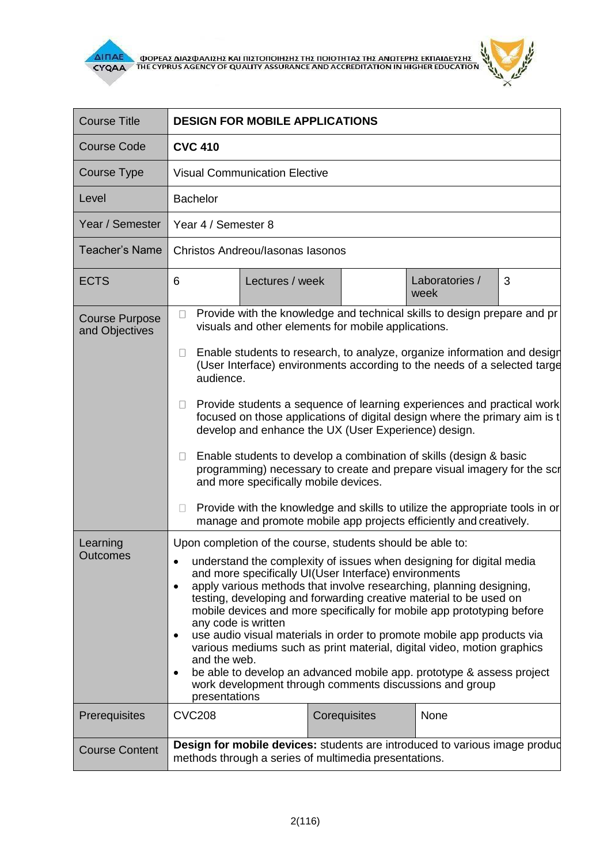



| <b>Course Title</b>                     | <b>DESIGN FOR MOBILE APPLICATIONS</b>                                                                                                                                                                                                                                                                                                                                                                                                                                                                                                                                                                                                                                                                                                                                                                                                                                                                                  |
|-----------------------------------------|------------------------------------------------------------------------------------------------------------------------------------------------------------------------------------------------------------------------------------------------------------------------------------------------------------------------------------------------------------------------------------------------------------------------------------------------------------------------------------------------------------------------------------------------------------------------------------------------------------------------------------------------------------------------------------------------------------------------------------------------------------------------------------------------------------------------------------------------------------------------------------------------------------------------|
| <b>Course Code</b>                      | <b>CVC 410</b>                                                                                                                                                                                                                                                                                                                                                                                                                                                                                                                                                                                                                                                                                                                                                                                                                                                                                                         |
| <b>Course Type</b>                      | <b>Visual Communication Elective</b>                                                                                                                                                                                                                                                                                                                                                                                                                                                                                                                                                                                                                                                                                                                                                                                                                                                                                   |
| Level                                   | <b>Bachelor</b>                                                                                                                                                                                                                                                                                                                                                                                                                                                                                                                                                                                                                                                                                                                                                                                                                                                                                                        |
| Year / Semester                         | Year 4 / Semester 8                                                                                                                                                                                                                                                                                                                                                                                                                                                                                                                                                                                                                                                                                                                                                                                                                                                                                                    |
| <b>Teacher's Name</b>                   | Christos Andreou/Iasonas Iasonos                                                                                                                                                                                                                                                                                                                                                                                                                                                                                                                                                                                                                                                                                                                                                                                                                                                                                       |
| <b>ECTS</b>                             | 3<br>6<br>Lectures / week<br>Laboratories /<br>week                                                                                                                                                                                                                                                                                                                                                                                                                                                                                                                                                                                                                                                                                                                                                                                                                                                                    |
| <b>Course Purpose</b><br>and Objectives | Provide with the knowledge and technical skills to design prepare and pr<br>$\Box$<br>visuals and other elements for mobile applications.<br>Enable students to research, to analyze, organize information and design<br>$\Box$<br>(User Interface) environments according to the needs of a selected targe<br>audience.<br>Provide students a sequence of learning experiences and practical work<br>$\Box$<br>focused on those applications of digital design where the primary aim is t<br>develop and enhance the UX (User Experience) design.<br>Enable students to develop a combination of skills (design & basic<br>$\Box$<br>programming) necessary to create and prepare visual imagery for the scr<br>and more specifically mobile devices.<br>Provide with the knowledge and skills to utilize the appropriate tools in or<br>$\Box$<br>manage and promote mobile app projects efficiently and creatively. |
| Learning<br><b>Outcomes</b>             | Upon completion of the course, students should be able to:<br>understand the complexity of issues when designing for digital media<br>and more specifically UI(User Interface) environments<br>apply various methods that involve researching, planning designing,<br>$\bullet$<br>testing, developing and forwarding creative material to be used on<br>mobile devices and more specifically for mobile app prototyping before<br>any code is written<br>use audio visual materials in order to promote mobile app products via<br>$\bullet$<br>various mediums such as print material, digital video, motion graphics<br>and the web.<br>be able to develop an advanced mobile app. prototype & assess project<br>$\bullet$<br>work development through comments discussions and group<br>presentations                                                                                                              |
| Prerequisites                           | <b>CVC208</b><br>Corequisites<br>None                                                                                                                                                                                                                                                                                                                                                                                                                                                                                                                                                                                                                                                                                                                                                                                                                                                                                  |
| <b>Course Content</b>                   | Design for mobile devices: students are introduced to various image produd<br>methods through a series of multimedia presentations.                                                                                                                                                                                                                                                                                                                                                                                                                                                                                                                                                                                                                                                                                                                                                                                    |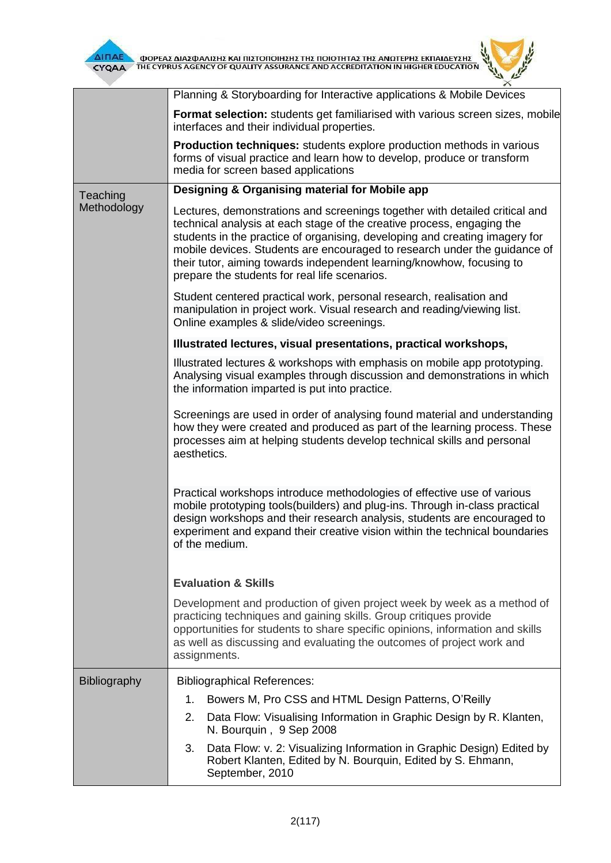

**AITIAE A OOPEAE AIAE DANIEHE KAI TIIETOTOIHEHE THE TOIOTHTAE THE ANOTEPHE EKTIAIAEYEHE** 

 $\mathbf{z}$ 

|              | Planning & Storyboarding for Interactive applications & Mobile Devices                                                                                                                                                                                                                                                                                                                                                                      |
|--------------|---------------------------------------------------------------------------------------------------------------------------------------------------------------------------------------------------------------------------------------------------------------------------------------------------------------------------------------------------------------------------------------------------------------------------------------------|
|              | Format selection: students get familiarised with various screen sizes, mobile<br>interfaces and their individual properties.                                                                                                                                                                                                                                                                                                                |
|              | <b>Production techniques:</b> students explore production methods in various<br>forms of visual practice and learn how to develop, produce or transform<br>media for screen based applications                                                                                                                                                                                                                                              |
| Teaching     | Designing & Organising material for Mobile app                                                                                                                                                                                                                                                                                                                                                                                              |
| Methodology  | Lectures, demonstrations and screenings together with detailed critical and<br>technical analysis at each stage of the creative process, engaging the<br>students in the practice of organising, developing and creating imagery for<br>mobile devices. Students are encouraged to research under the guidance of<br>their tutor, aiming towards independent learning/knowhow, focusing to<br>prepare the students for real life scenarios. |
|              | Student centered practical work, personal research, realisation and<br>manipulation in project work. Visual research and reading/viewing list.<br>Online examples & slide/video screenings.                                                                                                                                                                                                                                                 |
|              | Illustrated lectures, visual presentations, practical workshops,                                                                                                                                                                                                                                                                                                                                                                            |
|              | Illustrated lectures & workshops with emphasis on mobile app prototyping.<br>Analysing visual examples through discussion and demonstrations in which<br>the information imparted is put into practice.                                                                                                                                                                                                                                     |
|              | Screenings are used in order of analysing found material and understanding<br>how they were created and produced as part of the learning process. These<br>processes aim at helping students develop technical skills and personal<br>aesthetics.                                                                                                                                                                                           |
|              | Practical workshops introduce methodologies of effective use of various<br>mobile prototyping tools(builders) and plug-ins. Through in-class practical<br>design workshops and their research analysis, students are encouraged to<br>experiment and expand their creative vision within the technical boundaries<br>of the medium.                                                                                                         |
|              | <b>Evaluation &amp; Skills</b>                                                                                                                                                                                                                                                                                                                                                                                                              |
|              | Development and production of given project week by week as a method of<br>practicing techniques and gaining skills. Group critiques provide<br>opportunities for students to share specific opinions, information and skills<br>as well as discussing and evaluating the outcomes of project work and<br>assignments.                                                                                                                      |
| Bibliography | <b>Bibliographical References:</b>                                                                                                                                                                                                                                                                                                                                                                                                          |
|              | Bowers M, Pro CSS and HTML Design Patterns, O'Reilly<br>1.                                                                                                                                                                                                                                                                                                                                                                                  |
|              | 2.<br>Data Flow: Visualising Information in Graphic Design by R. Klanten,<br>N. Bourquin, 9 Sep 2008                                                                                                                                                                                                                                                                                                                                        |
|              | Data Flow: v. 2: Visualizing Information in Graphic Design) Edited by<br>3.<br>Robert Klanten, Edited by N. Bourquin, Edited by S. Ehmann,<br>September, 2010                                                                                                                                                                                                                                                                               |